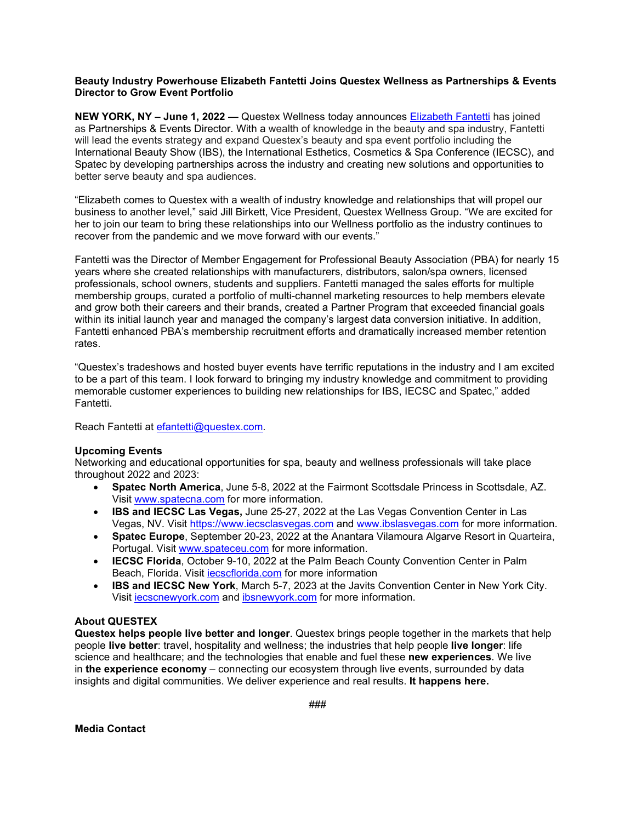## **Beauty Industry Powerhouse Elizabeth Fantetti Joins Questex Wellness as Partnerships & Events Director to Grow Event Portfolio**

**NEW YORK, NY – June 1, 2022 —** Questex Wellness today announces [Elizabeth Fantetti](https://www.linkedin.com/in/elizabeth-fantetti-iom-cae-9101124/) has joined as Partnerships & Events Director. With a wealth of knowledge in the beauty and spa industry, Fantetti will lead the events strategy and expand Questex's beauty and spa event portfolio including the International Beauty Show (IBS), the International Esthetics, Cosmetics & Spa Conference (IECSC), and Spatec by developing partnerships across the industry and creating new solutions and opportunities to better serve beauty and spa audiences.

"Elizabeth comes to Questex with a wealth of industry knowledge and relationships that will propel our business to another level," said Jill Birkett, Vice President, Questex Wellness Group. "We are excited for her to join our team to bring these relationships into our Wellness portfolio as the industry continues to recover from the pandemic and we move forward with our events."

Fantetti was the Director of Member Engagement for Professional Beauty Association (PBA) for nearly 15 years where she created relationships with manufacturers, distributors, salon/spa owners, licensed professionals, school owners, students and suppliers. Fantetti managed the sales efforts for multiple membership groups, curated a portfolio of multi-channel marketing resources to help members elevate and grow both their careers and their brands, created a Partner Program that exceeded financial goals within its initial launch year and managed the company's largest data conversion initiative. In addition, Fantetti enhanced PBA's membership recruitment efforts and dramatically increased member retention rates.

"Questex's tradeshows and hosted buyer events have terrific reputations in the industry and I am excited to be a part of this team. I look forward to bringing my industry knowledge and commitment to providing memorable customer experiences to building new relationships for IBS, IECSC and Spatec," added Fantetti.

Reach Fantetti at [efantetti@questex.com.](mailto:efantetti@questex.com)

## **Upcoming Events**

Networking and educational opportunities for spa, beauty and wellness professionals will take place throughout 2022 and 2023:

- **Spatec North America**, June 5-8, 2022 at the Fairmont Scottsdale Princess in Scottsdale, AZ. Visit [www.spatecna.com](http://www.spatecna.com/) for more information.
- **IBS and IECSC Las Vegas,** June 25-27, 2022 at the Las Vegas Convention Center in Las Vegas, NV. Visit [https://www.iecsclasvegas.com](https://www.iecsclasvegas.com/) and [www.ibslasvegas.com](http://www.ibslasvegas.com/) for more information.
- **Spatec Europe**, September 20-23, 2022 at the Anantara Vilamoura Algarve Resort in Quarteira, Portugal. Visit [www.spateceu.com](https://www.spateceu.com/) for more information.
- **IECSC Florida**, October 9-10, 2022 at the Palm Beach County Convention Center in Palm Beach, Florida. Visit [iecscflorida.com](https://www.iecscflorida.com/) for more information
- **IBS and IECSC New York**, March 5-7, 2023 at the Javits Convention Center in New York City. Visit [iecscnewyork.com](https://www.iecscnewyork.com/) and [ibsnewyork.com](https://www.ibsnewyork.com/) for more information.

## **About QUESTEX**

**Questex helps people live better and longer**. Questex brings people together in the markets that help people **live better**: travel, hospitality and wellness; the industries that help people **live longer**: life science and healthcare; and the technologies that enable and fuel these **new experiences**. We live in **the experience economy** – connecting our ecosystem through live events, surrounded by data insights and digital communities. We deliver experience and real results. **It happens here.**

###

**Media Contact**